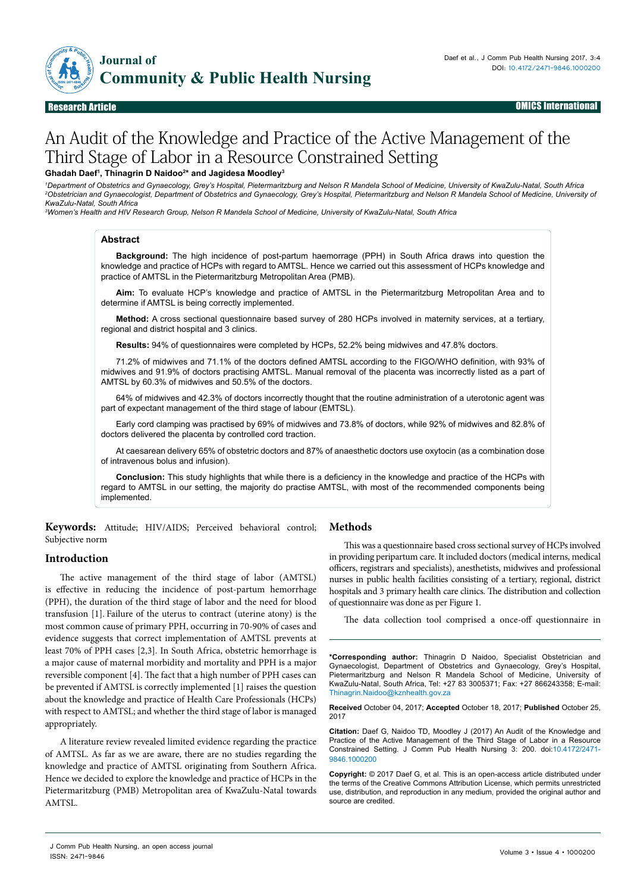

#### Research Article OMICS International

# An Audit of the Knowledge and Practice of the Active Management of the Third Stage of Labor in a Resource Constrained Setting

## **Ghadah Daef1 , Thinagrin D Naidoo2 \* and Jagidesa Moodley3**

'Department of Obstetrics and Gynaecology, Grey's Hospital, Pietermaritzburg and Nelson R Mandela School of Medicine, University of KwaZulu-Natal, South Africa<br><sup>2</sup>Obstetrician and Gynaecologist, Department of Obstetrics an *KwaZulu-Natal, South Africa*

*3 Women's Health and HIV Research Group, Nelson R Mandela School of Medicine, University of KwaZulu-Natal, South Africa*

#### **Abstract**

**Background:** The high incidence of post-partum haemorrage (PPH) in South Africa draws into question the knowledge and practice of HCPs with regard to AMTSL. Hence we carried out this assessment of HCPs knowledge and practice of AMTSL in the Pietermaritzburg Metropolitan Area (PMB).

**Aim:** To evaluate HCP's knowledge and practice of AMTSL in the Pietermaritzburg Metropolitan Area and to determine if AMTSL is being correctly implemented.

**Method:** A cross sectional questionnaire based survey of 280 HCPs involved in maternity services, at a tertiary, regional and district hospital and 3 clinics.

**Results:** 94% of questionnaires were completed by HCPs, 52.2% being midwives and 47.8% doctors.

71.2% of midwives and 71.1% of the doctors defined AMTSL according to the FIGO/WHO definition, with 93% of midwives and 91.9% of doctors practising AMTSL. Manual removal of the placenta was incorrectly listed as a part of AMTSL by 60.3% of midwives and 50.5% of the doctors.

64% of midwives and 42.3% of doctors incorrectly thought that the routine administration of a uterotonic agent was part of expectant management of the third stage of labour (EMTSL).

Early cord clamping was practised by 69% of midwives and 73.8% of doctors, while 92% of midwives and 82.8% of doctors delivered the placenta by controlled cord traction.

At caesarean delivery 65% of obstetric doctors and 87% of anaesthetic doctors use oxytocin (as a combination dose of intravenous bolus and infusion).

**Conclusion:** This study highlights that while there is a deficiency in the knowledge and practice of the HCPs with regard to AMTSL in our setting, the majority do practise AMTSL, with most of the recommended components being implemented.

**Keywords:** Attitude; HIV/AIDS; Perceived behavioral control; Subjective norm

## **Introduction**

The active management of the third stage of labor (AMTSL) is effective in reducing the incidence of post-partum hemorrhage (PPH), the duration of the third stage of labor and the need for blood transfusion [1]. Failure of the uterus to contract (uterine atony) is the most common cause of primary PPH, occurring in 70-90% of cases and evidence suggests that correct implementation of AMTSL prevents at least 70% of PPH cases [2,3]. In South Africa, obstetric hemorrhage is a major cause of maternal morbidity and mortality and PPH is a major reversible component [4]. The fact that a high number of PPH cases can be prevented if AMTSL is correctly implemented [1] raises the question about the knowledge and practice of Health Care Professionals (HCPs) with respect to AMTSL; and whether the third stage of labor is managed appropriately.

A literature review revealed limited evidence regarding the practice of AMTSL. As far as we are aware, there are no studies regarding the knowledge and practice of AMTSL originating from Southern Africa. Hence we decided to explore the knowledge and practice of HCPs in the Pietermaritzburg (PMB) Metropolitan area of KwaZulu-Natal towards AMTSL.

# **Methods**

This was a questionnaire based cross sectional survey of HCPs involved in providing peripartum care. It included doctors (medical interns, medical officers, registrars and specialists), anesthetists, midwives and professional nurses in public health facilities consisting of a tertiary, regional, district hospitals and 3 primary health care clinics. The distribution and collection of questionnaire was done as per Figure 1.

The data collection tool comprised a once-off questionnaire in

**\*Corresponding author:** Thinagrin D Naidoo, Specialist Obstetrician and Gynaecologist, Department of Obstetrics and Gynaecology, Grey's Hospital, Pietermaritzburg and Nelson R Mandela School of Medicine, University of KwaZulu-Natal, South Africa, Tel: +27 83 3005371; Fax: +27 866243358; E-mail: Thinagrin.Naidoo@kznhealth.gov.za

**Received** October 04, 2017; **Accepted** October 18, 2017; **Published** October 25, 2017

**Citation:** Daef G, Naidoo TD, Moodley J (2017) An Audit of the Knowledge and Practice of the Active Management of the Third Stage of Labor in a Resource Constrained Setting. J Comm Pub Health Nursing 3: 200. doi:10.4172/2471- 9846.1000200

**Copyright:** © 2017 Daef G, et al. This is an open-access article distributed under the terms of the Creative Commons Attribution License, which permits unrestricted use, distribution, and reproduction in any medium, provided the original author and source are credited.

J Comm Pub Health Nursing, an open access journal ISSN: 2471-9846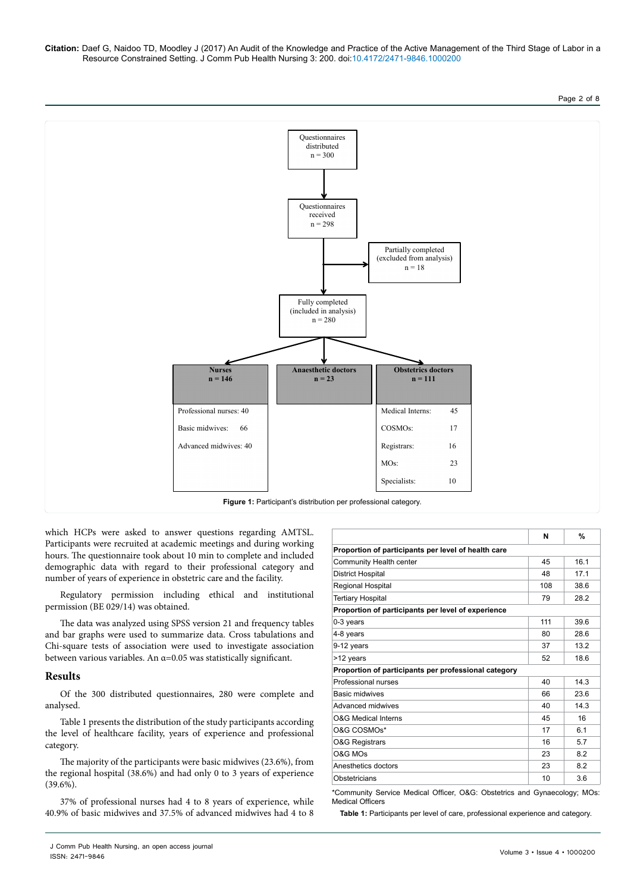**Citation:** Daef G, Naidoo TD, Moodley J (2017) An Audit of the Knowledge and Practice of the Active Management of the Third Stage of Labor in a Resource Constrained Setting. J Comm Pub Health Nursing 3: 200. doi:10.4172/2471-9846.1000200

## Page 2 of 8



which HCPs were asked to answer questions regarding AMTSL. Participants were recruited at academic meetings and during working hours. The questionnaire took about 10 min to complete and included demographic data with regard to their professional category and number of years of experience in obstetric care and the facility.

Regulatory permission including ethical and institutional permission (BE 029/14) was obtained.

The data was analyzed using SPSS version 21 and frequency tables and bar graphs were used to summarize data. Cross tabulations and Chi-square tests of association were used to investigate association between various variables. An  $\alpha$ =0.05 was statistically significant.

# **Results**

Of the 300 distributed questionnaires, 280 were complete and analysed.

Table 1 presents the distribution of the study participants according the level of healthcare facility, years of experience and professional category.

The majority of the participants were basic midwives (23.6%), from the regional hospital (38.6%) and had only 0 to 3 years of experience  $(39.6\%)$ .

37% of professional nurses had 4 to 8 years of experience, while 40.9% of basic midwives and 37.5% of advanced midwives had 4 to 8

| Proportion of participants per level of health care  |     |      |
|------------------------------------------------------|-----|------|
| Community Health center                              | 45  | 16.1 |
| <b>District Hospital</b>                             | 48  | 17.1 |
| Regional Hospital                                    | 108 | 38.6 |
| <b>Tertiary Hospital</b>                             | 79  | 28.2 |
| Proportion of participants per level of experience   |     |      |
| $0-3$ years                                          | 111 | 39.6 |
| 4-8 years                                            | 80  | 28.6 |
| 9-12 years                                           | 37  | 13.2 |
| >12 years                                            | 52  | 18.6 |
| Proportion of participants per professional category |     |      |
| Professional nurses                                  | 40  | 14.3 |
| <b>Basic midwives</b>                                | 66  | 23.6 |
| Advanced midwives                                    | 40  | 14.3 |
| <b>O&amp;G Medical Interns</b>                       | 45  | 16   |
| O&G COSMO <sub>s</sub> *                             | 17  | 6.1  |
| <b>O&amp;G Registrars</b>                            | 16  | 5.7  |
| O&G MOs                                              | 23  | 8.2  |
| Anesthetics doctors                                  | 23  | 8.2  |
| Obstetricians                                        | 10  | 3.6  |

\*Community Service Medical Officer, O&G: Obstetrics and Gynaecology; MOs: Medical Officers

**Table 1:** Participants per level of care, professional experience and category.

**N %**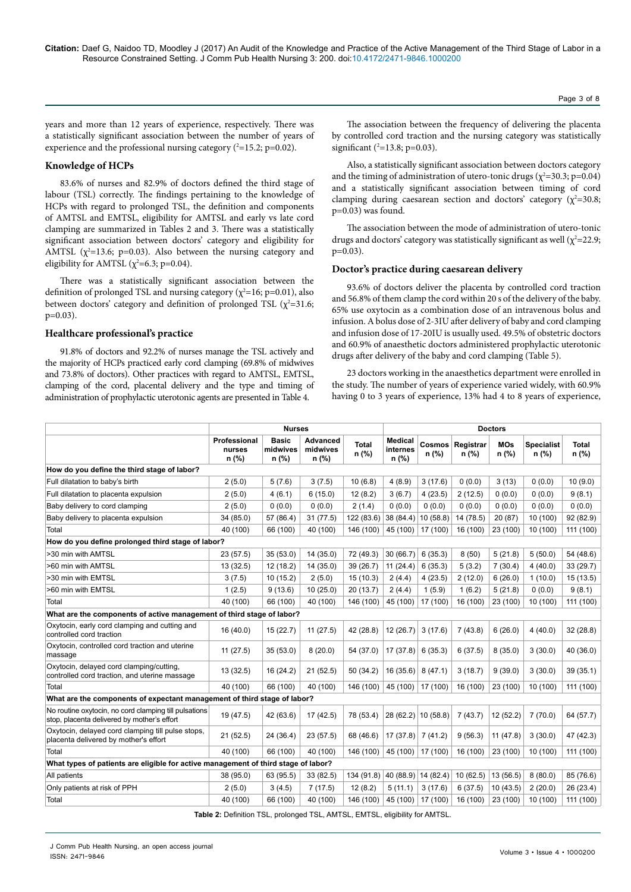years and more than 12 years of experience, respectively. There was a statistically significant association between the number of years of experience and the professional nursing category  $(^{2}=15.2; p=0.02)$ .

## **Knowledge of HCPs**

83.6% of nurses and 82.9% of doctors defined the third stage of labour (TSL) correctly. The findings pertaining to the knowledge of HCPs with regard to prolonged TSL, the definition and components of AMTSL and EMTSL, eligibility for AMTSL and early vs late cord clamping are summarized in Tables 2 and 3. There was a statistically significant association between doctors' category and eligibility for AMTSL  $(\chi^2=13.6; p=0.03)$ . Also between the nursing category and eligibility for AMTSL ( $\chi^2$ =6.3; p=0.04).

There was a statistically significant association between the definition of prolonged TSL and nursing category ( $\chi^2$ =16; p=0.01), also between doctors' category and definition of prolonged TSL  $(\chi^2=31.6;$  $p=0.03$ ).

#### **Healthcare professional's practice**

91.8% of doctors and 92.2% of nurses manage the TSL actively and the majority of HCPs practiced early cord clamping (69.8% of midwives and 73.8% of doctors). Other practices with regard to AMTSL, EMTSL, clamping of the cord, placental delivery and the type and timing of administration of prophylactic uterotonic agents are presented in Table 4.

The association between the frequency of delivering the placenta by controlled cord traction and the nursing category was statistically significant  $(^{2}=13.8; p=0.03)$ .

Also, a statistically significant association between doctors category and the timing of administration of utero-tonic drugs ( $\chi^2$ =30.3; p=0.04) and a statistically significant association between timing of cord clamping during caesarean section and doctors' category ( $\chi^2$ =30.8; p=0.03) was found.

The association between the mode of administration of utero-tonic drugs and doctors' category was statistically significant as well ( $\chi^2$ =22.9;  $p=0.03$ ).

#### **Doctor's practice during caesarean delivery**

93.6% of doctors deliver the placenta by controlled cord traction and 56.8% of them clamp the cord within 20 s of the delivery of the baby. 65% use oxytocin as a combination dose of an intravenous bolus and infusion. A bolus dose of 2-3IU after delivery of baby and cord clamping and infusion dose of 17-20IU is usually used. 49.5% of obstetric doctors and 60.9% of anaesthetic doctors administered prophylactic uterotonic drugs after delivery of the baby and cord clamping (Table 5).

23 doctors working in the anaesthetics department were enrolled in the study. The number of years of experience varied widely, with 60.9% having 0 to 3 years of experience, 13% had 4 to 8 years of experience,

|                                                                                                      | <b>Nurses</b>                   |                                   |                                      |                | <b>Doctors</b>                        |          |                             |                       |                            |                         |
|------------------------------------------------------------------------------------------------------|---------------------------------|-----------------------------------|--------------------------------------|----------------|---------------------------------------|----------|-----------------------------|-----------------------|----------------------------|-------------------------|
|                                                                                                      | Professional<br>nurses<br>n (%) | <b>Basic</b><br>midwives<br>n (%) | <b>Advanced</b><br>midwives<br>n (%) | Total<br>n (%) | <b>Medical</b><br>internes<br>$n$ (%) | $n$ (%)  | Cosmos Registrar<br>$n$ (%) | <b>MOs</b><br>$n$ (%) | <b>Specialist</b><br>n (%) | <b>Total</b><br>$n$ (%) |
| How do you define the third stage of labor?                                                          |                                 |                                   |                                      |                |                                       |          |                             |                       |                            |                         |
| Full dilatation to baby's birth                                                                      | 2(5.0)                          | 5(7.6)                            | 3(7.5)                               | 10(6.8)        | 4(8.9)                                | 3(17.6)  | 0(0.0)                      | 3(13)                 | 0(0.0)                     | 10(9.0)                 |
| Full dilatation to placenta expulsion                                                                | 2(5.0)                          | 4(6.1)                            | 6(15.0)                              | 12(8.2)        | 3(6.7)                                | 4(23.5)  | 2(12.5)                     | 0(0.0)                | 0(0.0)                     | 9(8.1)                  |
| Baby delivery to cord clamping                                                                       | 2(5.0)                          | 0(0.0)                            | 0(0.0)                               | 2(1.4)         | 0(0.0)                                | 0(0.0)   | 0(0.0)                      | 0(0.0)                | 0(0.0)                     | 0(0.0)                  |
| Baby delivery to placenta expulsion                                                                  | 34 (85.0)                       | 57 (86.4)                         | 31(77.5)                             | 122 (83.6)     | 38 (84.4)                             | 10(58.8) | 14 (78.5)                   | 20 (87)               | 10 (100)                   | 92 (82.9)               |
| Total                                                                                                | 40 (100)                        | 66 (100)                          | 40 (100)                             | 146 (100)      | 45 (100)                              | 17 (100) | 16 (100)                    | 23 (100)              | 10 (100)                   | 111 (100)               |
| How do you define prolonged third stage of labor?                                                    |                                 |                                   |                                      |                |                                       |          |                             |                       |                            |                         |
| >30 min with AMTSL                                                                                   | 23(57.5)                        | 35(53.0)                          | 14(35.0)                             | 72 (49.3)      | 30(66.7)                              | 6(35.3)  | 8(50)                       | 5(21.8)               | 5(50.0)                    | 54 (48.6)               |
| >60 min with AMTSL                                                                                   | 13 (32.5)                       | 12(18.2)                          | 14(35.0)                             | 39 (26.7)      | 11(24.4)                              | 6(35.3)  | 5(3.2)                      | 7(30.4)               | 4(40.0)                    | 33(29.7)                |
| >30 min with EMTSL                                                                                   | 3(7.5)                          | 10(15.2)                          | 2(5.0)                               | 15(10.3)       | 2(4.4)                                | 4(23.5)  | 2(12.0)                     | 6(26.0)               | 1(10.0)                    | 15(13.5)                |
| >60 min with EMTSL                                                                                   | 1(2.5)                          | 9(13.6)                           | 10(25.0)                             | 20(13.7)       | 2(4.4)                                | 1(5.9)   | 1(6.2)                      | 5(21.8)               | 0(0.0)                     | 9(8.1)                  |
| Total                                                                                                | 40 (100)                        | 66 (100)                          | 40 (100)                             | 146 (100)      | 45 (100)                              | 17 (100) | 16 (100)                    | 23 (100)              | 10 (100)                   | 111 (100)               |
| What are the components of active management of third stage of labor?                                |                                 |                                   |                                      |                |                                       |          |                             |                       |                            |                         |
| Oxytocin, early cord clamping and cutting and<br>controlled cord traction                            | 16 (40.0)                       | 15(22.7)                          | 11(27.5)                             | 42 (28.8)      | 12 (26.7)                             | 3(17.6)  | 7(43.8)                     | 6(26.0)               | 4(40.0)                    | 32(28.8)                |
| Oxytocin, controlled cord traction and uterine<br>massage                                            | 11(27.5)                        | 35(53.0)                          | 8(20.0)                              | 54 (37.0)      | 17 (37.8)                             | 6(35.3)  | 6(37.5)                     | 8(35.0)               | 3(30.0)                    | 40 (36.0)               |
| Oxytocin, delayed cord clamping/cutting,<br>controlled cord traction, and uterine massage            | 13(32.5)                        | 16(24.2)                          | 21(52.5)                             | 50(34.2)       | 16(35.6)                              | 8(47.1)  | 3(18.7)                     | 9(39.0)               | 3(30.0)                    | 39(35.1)                |
| Total                                                                                                | 40 (100)                        | 66 (100)                          | 40 (100)                             | 146 (100)      | 45 (100)                              | 17 (100) | 16 (100)                    | 23 (100)              | 10 (100)                   | 111 (100)               |
| What are the components of expectant management of third stage of labor?                             |                                 |                                   |                                      |                |                                       |          |                             |                       |                            |                         |
| No routine oxytocin, no cord clamping till pulsations<br>stop, placenta delivered by mother's effort | 19 (47.5)                       | 42 (63.6)                         | 17(42.5)                             | 78 (53.4)      | 28(62.2)                              | 10(58.8) | 7(43.7)                     | 12(52.2)              | 7(70.0)                    | 64 (57.7)               |
| Oxytocin, delayed cord clamping till pulse stops,<br>placenta delivered by mother's effort           | 21(52.5)                        | 24 (36.4)                         | 23(57.5)                             | 68 (46.6)      | 17(37.8)                              | 7(41.2)  | 9(56.3)                     | 11(47.8)              | 3(30.0)                    | 47 (42.3)               |
| Total                                                                                                | 40 (100)                        | 66 (100)                          | 40 (100)                             | 146 (100)      | 45 (100)                              | 17 (100) | 16 (100)                    | 23 (100)              | 10(100)                    | 111 (100)               |
| What types of patients are eligible for active management of third stage of labor?                   |                                 |                                   |                                      |                |                                       |          |                             |                       |                            |                         |
| All patients                                                                                         | 38 (95.0)                       | 63 (95.5)                         | 33 (82.5)                            | 134 (91.8)     | 40 (88.9)                             | 14(82.4) | 10(62.5)                    | 13(56.5)              | 8(80.0)                    | 85 (76.6)               |
| Only patients at risk of PPH                                                                         | 2(5.0)                          | 3(4.5)                            | 7(17.5)                              | 12(8.2)        | 5(11.1)                               | 3(17.6)  | 6(37.5)                     | 10(43.5)              | 2(20.0)                    | 26 (23.4)               |
| Total                                                                                                | 40 (100)                        | 66 (100)                          | 40 (100)                             | 146 (100)      | 45 (100)                              | 17 (100) | 16 (100)                    | 23 (100)              | 10 (100)                   | 111 (100)               |

**Table 2:** Definition TSL, prolonged TSL, AMTSL, EMTSL, eligibility for AMTSL.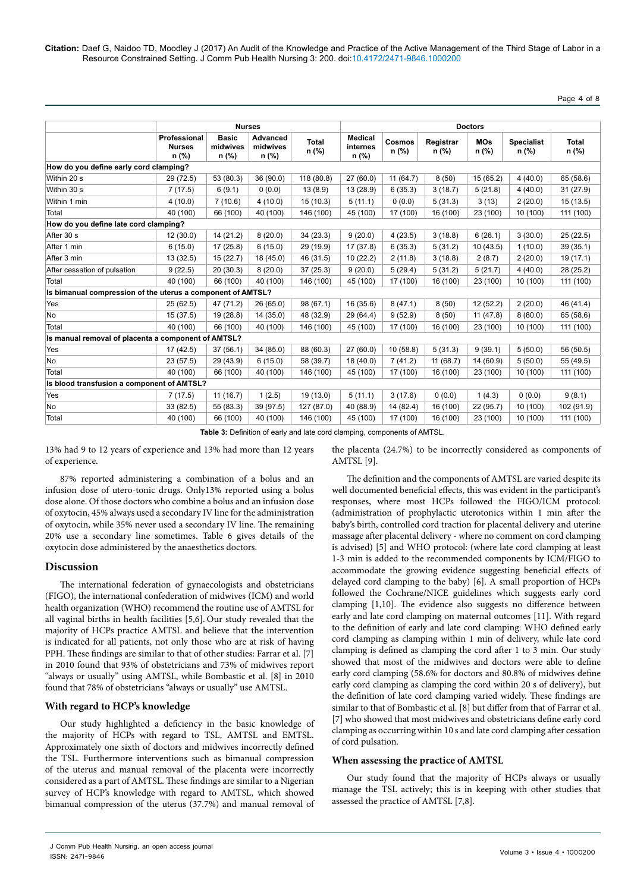# Page 4 of 8

|                                                             | <b>Nurses</b>                            |                                   |                                 |                |                                       |                        |                    | <b>Doctors</b>        |                              |                       |
|-------------------------------------------------------------|------------------------------------------|-----------------------------------|---------------------------------|----------------|---------------------------------------|------------------------|--------------------|-----------------------|------------------------------|-----------------------|
|                                                             | Professional<br><b>Nurses</b><br>$n$ (%) | <b>Basic</b><br>midwives<br>n (%) | Advanced<br>midwives<br>$n$ (%) | Total<br>n (%) | <b>Medical</b><br>internes<br>$n$ (%) | <b>Cosmos</b><br>n (%) | Registrar<br>n (%) | <b>MOs</b><br>$n$ (%) | <b>Specialist</b><br>$n$ (%) | <b>Total</b><br>n (%) |
| How do you define early cord clamping?                      |                                          |                                   |                                 |                |                                       |                        |                    |                       |                              |                       |
| Within 20 s                                                 | 29 (72.5)                                | 53 (80.3)                         | 36(90.0)                        | 118 (80.8)     | 27(60.0)                              | 11(64.7)               | 8(50)              | 15(65.2)              | 4(40.0)                      | 65 (58.6)             |
| Within 30 s                                                 | 7(17.5)                                  | 6(9.1)                            | 0(0.0)                          | 13(8.9)        | 13 (28.9)                             | 6(35.3)                | 3(18.7)            | 5(21.8)               | 4(40.0)                      | 31 (27.9)             |
| Within 1 min                                                | 4(10.0)                                  | 7(10.6)                           | 4(10.0)                         | 15(10.3)       | 5(11.1)                               | 0(0.0)                 | 5(31.3)            | 3(13)                 | 2(20.0)                      | 15(13.5)              |
| Total                                                       | 40 (100)                                 | 66 (100)                          | 40 (100)                        | 146 (100)      | 45 (100)                              | 17 (100)               | 16 (100)           | 23 (100)              | 10 (100)                     | 111 (100)             |
| How do you define late cord clamping?                       |                                          |                                   |                                 |                |                                       |                        |                    |                       |                              |                       |
| After 30 s                                                  | 12(30.0)                                 | 14 (21.2)                         | 8(20.0)                         | 34(23.3)       | 9(20.0)                               | 4(23.5)                | 3(18.8)            | 6(26.1)               | 3(30.0)                      | 25(22.5)              |
| After 1 min                                                 | 6(15.0)                                  | 17(25.8)                          | 6(15.0)                         | 29 (19.9)      | 17 (37.8)                             | 6(35.3)                | 5(31.2)            | 10(43.5)              | 1(10.0)                      | 39(35.1)              |
| After 3 min                                                 | 13(32.5)                                 | 15(22.7)                          | 18(45.0)                        | 46 (31.5)      | 10(22.2)                              | 2(11.8)                | 3(18.8)            | 2(8.7)                | 2(20.0)                      | 19 (17.1)             |
| After cessation of pulsation                                | 9(22.5)                                  | 20(30.3)                          | 8(20.0)                         | 37(25.3)       | 9(20.0)                               | 5(29.4)                | 5(31.2)            | 5(21.7)               | 4(40.0)                      | 28 (25.2)             |
| Total                                                       | 40 (100)                                 | 66 (100)                          | 40 (100)                        | 146 (100)      | 45 (100)                              | 17 (100)               | 16 (100)           | 23 (100)              | 10 (100)                     | 111 (100)             |
| Is bimanual compression of the uterus a component of AMTSL? |                                          |                                   |                                 |                |                                       |                        |                    |                       |                              |                       |
| Yes                                                         | 25(62.5)                                 | 47 (71.2)                         | 26 (65.0)                       | 98 (67.1)      | 16 (35.6)                             | 8(47.1)                | 8(50)              | 12 (52.2)             | 2(20.0)                      | 46 (41.4)             |
| No                                                          | 15 (37.5)                                | 19 (28.8)                         | 14(35.0)                        | 48 (32.9)      | 29 (64.4)                             | 9(52.9)                | 8(50)              | 11(47.8)              | 8(80.0)                      | 65 (58.6)             |
| Total                                                       | 40 (100)                                 | 66 (100)                          | 40 (100)                        | 146 (100)      | 45 (100)                              | 17 (100)               | 16 (100)           | 23 (100)              | 10 (100)                     | 111 (100)             |
| Is manual removal of placenta a component of AMTSL?         |                                          |                                   |                                 |                |                                       |                        |                    |                       |                              |                       |
| Yes                                                         | 17(42.5)                                 | 37(56.1)                          | 34(85.0)                        | 88 (60.3)      | 27(60.0)                              | 10(58.8)               | 5(31.3)            | 9(39.1)               | 5(50.0)                      | 56 (50.5)             |
| No                                                          | 23(57.5)                                 | 29 (43.9)                         | 6(15.0)                         | 58 (39.7)      | 18 (40.0)                             | 7(41.2)                | 11(68.7)           | 14 (60.9)             | 5(50.0)                      | 55 (49.5)             |
| Total                                                       | 40 (100)                                 | 66 (100)                          | 40 (100)                        | 146 (100)      | 45 (100)                              | 17 (100)               | 16 (100)           | 23 (100)              | 10 (100)                     | 111 (100)             |
| Is blood transfusion a component of AMTSL?                  |                                          |                                   |                                 |                |                                       |                        |                    |                       |                              |                       |
| Yes                                                         | 7(17.5)                                  | 11(16.7)                          | 1(2.5)                          | 19 (13.0)      | 5(11.1)                               | 3(17.6)                | 0(0.0)             | 1(4.3)                | 0(0.0)                       | 9(8.1)                |
| No                                                          | 33 (82.5)                                | 55 (83.3)                         | 39 (97.5)                       | 127 (87.0)     | 40 (88.9)                             | 14 (82.4)              | 16 (100)           | 22(95.7)              | 10 (100)                     | 102 (91.9)            |
| Total                                                       | 40 (100)                                 | 66 (100)                          | 40 (100)                        | 146 (100)      | 45 (100)                              | 17 (100)               | 16 (100)           | 23 (100)              | 10 (100)                     | 111 (100)             |

**Table 3:** Definition of early and late cord clamping, components of AMTSL.

13% had 9 to 12 years of experience and 13% had more than 12 years of experience.

87% reported administering a combination of a bolus and an infusion dose of utero-tonic drugs. Only13% reported using a bolus dose alone. Of those doctors who combine a bolus and an infusion dose of oxytocin, 45% always used a secondary IV line for the administration of oxytocin, while 35% never used a secondary IV line. The remaining 20% use a secondary line sometimes. Table 6 gives details of the oxytocin dose administered by the anaesthetics doctors.

## **Discussion**

The international federation of gynaecologists and obstetricians (FIGO), the international confederation of midwives (ICM) and world health organization (WHO) recommend the routine use of AMTSL for all vaginal births in health facilities [5,6]. Our study revealed that the majority of HCPs practice AMTSL and believe that the intervention is indicated for all patients, not only those who are at risk of having PPH. These findings are similar to that of other studies: Farrar et al. [7] in 2010 found that 93% of obstetricians and 73% of midwives report "always or usually" using AMTSL, while Bombastic et al. [8] in 2010 found that 78% of obstetricians "always or usually" use AMTSL.

## **With regard to HCP's knowledge**

Our study highlighted a deficiency in the basic knowledge of the majority of HCPs with regard to TSL, AMTSL and EMTSL. Approximately one sixth of doctors and midwives incorrectly defined the TSL. Furthermore interventions such as bimanual compression of the uterus and manual removal of the placenta were incorrectly considered as a part of AMTSL. These findings are similar to a Nigerian survey of HCP's knowledge with regard to AMTSL, which showed bimanual compression of the uterus (37.7%) and manual removal of the placenta (24.7%) to be incorrectly considered as components of AMTSL [9].

The definition and the components of AMTSL are varied despite its well documented beneficial effects, this was evident in the participant's responses, where most HCPs followed the FIGO/ICM protocol: (administration of prophylactic uterotonics within 1 min after the baby's birth, controlled cord traction for placental delivery and uterine massage after placental delivery - where no comment on cord clamping is advised) [5] and WHO protocol: (where late cord clamping at least 1-3 min is added to the recommended components by ICM/FIGO to accommodate the growing evidence suggesting beneficial effects of delayed cord clamping to the baby) [6]. A small proportion of HCPs followed the Cochrane/NICE guidelines which suggests early cord clamping [1,10]. The evidence also suggests no difference between early and late cord clamping on maternal outcomes [11]. With regard to the definition of early and late cord clamping: WHO defined early cord clamping as clamping within 1 min of delivery, while late cord clamping is defined as clamping the cord after 1 to 3 min. Our study showed that most of the midwives and doctors were able to define early cord clamping (58.6% for doctors and 80.8% of midwives define early cord clamping as clamping the cord within 20 s of delivery), but the definition of late cord clamping varied widely. These findings are similar to that of Bombastic et al. [8] but differ from that of Farrar et al. [7] who showed that most midwives and obstetricians define early cord clamping as occurring within 10 s and late cord clamping after cessation of cord pulsation.

## **When assessing the practice of AMTSL**

Our study found that the majority of HCPs always or usually manage the TSL actively; this is in keeping with other studies that assessed the practice of AMTSL [7,8].

J Comm Pub Health Nursing, an open access journal ISSN: 2471-9846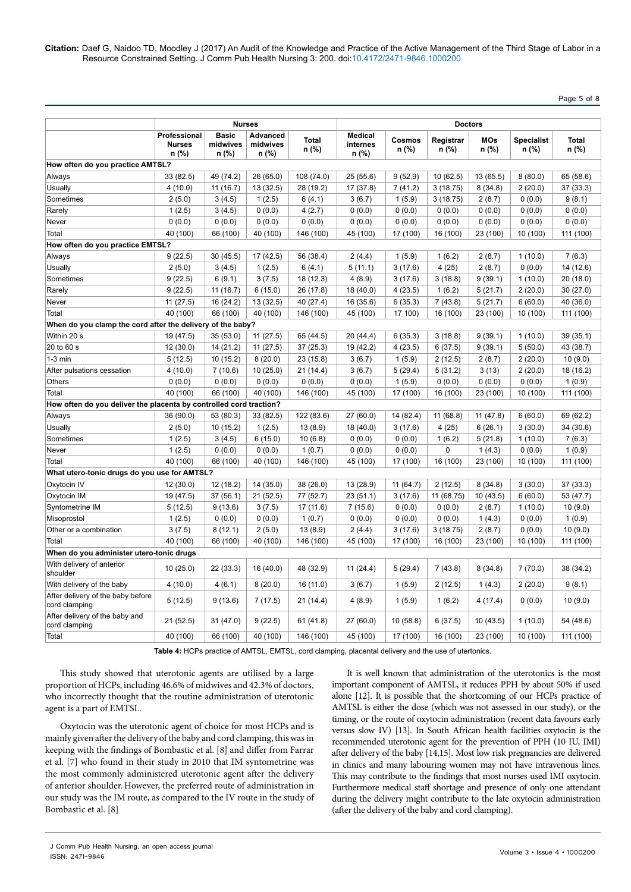# Page 5 of 8

|                                                                    | <b>Nurses</b>                          |                                   |                                      | <b>Doctors</b>        |                                     |                 |                    |                     |                            |                       |
|--------------------------------------------------------------------|----------------------------------------|-----------------------------------|--------------------------------------|-----------------------|-------------------------------------|-----------------|--------------------|---------------------|----------------------------|-----------------------|
|                                                                    | Professional<br><b>Nurses</b><br>n (%) | <b>Basic</b><br>midwives<br>n (%) | <b>Advanced</b><br>midwives<br>n (%) | <b>Total</b><br>n (%) | <b>Medical</b><br>internes<br>n (%) | Cosmos<br>n (%) | Registrar<br>n (%) | <b>MOs</b><br>n (%) | <b>Specialist</b><br>n (%) | <b>Total</b><br>n (%) |
| How often do you practice AMTSL?                                   |                                        |                                   |                                      |                       |                                     |                 |                    |                     |                            |                       |
| Always                                                             | 33 (82.5)                              | 49 (74.2)                         | 26 (65.0)                            | 108 (74.0)            | 25(55.6)                            | 9(52.9)         | 10(62.5)           | 13 (65.5)           | 8(80.0)                    | 65 (58.6)             |
| Usually                                                            | 4(10.0)                                | 11 (16.7)                         | 13 (32.5)                            | 28 (19.2)             | 17 (37.8)                           | 7(41.2)         | 3(18,75)           | 8(34.8)             | 2(20.0)                    | 37 (33.3)             |
| Sometimes                                                          | 2(5.0)                                 | 3(4.5)                            | 1(2.5)                               | 6(4.1)                | 3(6.7)                              | 1(5.9)          | 3(18.75)           | 2(8.7)              | 0(0.0)                     | 9(8.1)                |
| Rarely                                                             | 1(2.5)                                 | 3(4.5)                            | 0(0.0)                               | 4(2.7)                | 0(0.0)                              | 0(0.0)          | 0(0.0)             | 0(0.0)              | 0(0.0)                     | 0(0.0)                |
| Never                                                              | 0(0.0)                                 | 0(0.0)                            | 0(0.0)                               | 0(0.0)                | 0(0.0)                              | 0(0.0)          | 0(0.0)             | 0(0.0)              | 0(0.0)                     | 0(0.0)                |
| Total                                                              | 40 (100)                               | 66 (100)                          | 40 (100)                             | 146 (100)             | 45 (100)                            | 17 (100)        | 16 (100)           | 23 (100)            | 10 (100)                   | 111 (100)             |
| How often do you practice EMTSL?                                   |                                        |                                   |                                      |                       |                                     |                 |                    |                     |                            |                       |
| Always                                                             | 9(22.5)                                | 30 (45.5)                         | 17 (42.5)                            | 56 (38.4)             | 2(4.4)                              | 1(5.9)          | 1(6.2)             | 2(8.7)              | 1(10.0)                    | 7(6.3)                |
| Usually                                                            | 2(5.0)                                 | 3(4.5)                            | 1(2.5)                               | 6(4.1)                | 5(11.1)                             | 3(17.6)         | 4(25)              | 2(8.7)              | 0(0.0)                     | 14 (12.6)             |
| Sometimes                                                          | 9(22.5)                                | 6(9.1)                            | 3(7.5)                               | 18 (12.3)             | 4(8.9)                              | 3(17.6)         | 3(18.8)            | 9(39.1)             | 1(10.0)                    | 20(18.0)              |
| Rarely                                                             | 9(22.5)                                | 11 (16.7)                         | 6(15.0)                              | 26 (17.8)             | 18 (40.0)                           | 4(23.5)         | 1(6.2)             | 5(21.7)             | 2(20.0)                    | 30(27.0)              |
| Never                                                              | 11(27.5)                               | 16 (24.2)                         | 13(32.5)                             | 40 (27.4)             | 16 (35.6)                           | 6(35.3)         | 7(43.8)            | 5(21.7)             | 6(60.0)                    | 40 (36.0)             |
| Total                                                              | 40 (100)                               | 66 (100)                          | 40 (100)                             | 146 (100)             | 45 (100)                            | 17 100)         | 16 (100)           | 23 (100)            | 10 (100)                   | 111 (100)             |
| When do you clamp the cord after the delivery of the baby?         |                                        |                                   |                                      |                       |                                     |                 |                    |                     |                            |                       |
| Within 20 s                                                        | 19 (47.5)                              | 35 (53.0)                         | 11(27.5)                             | 65 (44.5)             | 20 (44.4)                           | 6(35.3)         | 3(18.8)            | 9(39.1)             | 1(10.0)                    | 39(35.1)              |
| 20 to 60 s                                                         | 12(30.0)                               | 14 (21.2)                         | 11(27.5)                             | 37 (25.3)             | 19 (42.2)                           | 4(23.5)         | 6(37.5)            | 9(39.1)             | 5(50.0)                    | 43 (38.7)             |
| $1-3$ min                                                          | 5(12.5)                                | 10(15.2)                          | 8(20.0)                              | 23(15.8)              | 3(6.7)                              | 1(5.9)          | 2(12.5)            | 2(8.7)              | 2(20.0)                    | 10(9.0)               |
| After pulsations cessation                                         | 4(10.0)                                | 7(10.6)                           | 10(25.0)                             | 21(14.4)              | 3(6.7)                              | 5(29.4)         | 5(31.2)            | 3(13)               | 2(20.0)                    | 18 (16.2)             |
| <b>Others</b>                                                      | 0(0.0)                                 | 0(0.0)                            | 0(0.0)                               | 0(0.0)                | 0(0.0)                              | 1(5.9)          | 0(0.0)             | 0(0.0)              | 0(0.0)                     | 1(0.9)                |
| Total                                                              | 40 (100)                               | 66 (100)                          | 40 (100)                             | 146 (100)             | 45 (100)                            | 17 (100)        | 16 (100)           | 23 (100)            | 10 (100)                   | 111 (100)             |
| How often do you deliver the placenta by controlled cord traction? |                                        |                                   |                                      |                       |                                     |                 |                    |                     |                            |                       |
| Always                                                             | 36 (90.0)                              | 53 (80.3)                         | 33 (82.5)                            | 122 (83.6)            | 27 (60.0)                           | 14 (82.4)       | 11(68.8)           | 11 (47.8)           | 6(60.0)                    | 69 (62.2)             |
| Usually                                                            | 2(5.0)                                 | 10(15.2)                          | 1(2.5)                               | 13(8.9)               | 18 (40.0)                           | 3(17.6)         | 4(25)              | 6(26.1)             | 3(30.0)                    | 34 (30.6)             |
| Sometimes                                                          | 1(2.5)                                 | 3(4.5)                            | 6(15.0)                              | 10(6.8)               | 0(0.0)                              | 0(0.0)          | 1(6.2)             | 5(21.8)             | 1(10.0)                    | 7(6.3)                |
| Never                                                              | 1(2.5)                                 | 0(0.0)                            | 0(0.0)                               | 1(0.7)                | 0(0.0)                              | 0(0.0)          | 0                  | 1(4.3)              | 0(0.0)                     | 1(0.9)                |
| Total                                                              | 40 (100)                               | 66 (100)                          | 40 (100)                             | 146 (100)             | 45 (100)                            | 17 (100)        | 16 (100)           | 23 (100)            | 10 (100)                   | 111 (100)             |
| What utero-tonic drugs do you use for AMTSL?                       |                                        |                                   |                                      |                       |                                     |                 |                    |                     |                            |                       |
| Oxytocin IV                                                        | 12(30.0)                               | 12 (18.2)                         | 14(35.0)                             | 38(26.0)              | 13 (28.9)                           | 11(64.7)        | 2(12.5)            | 8(34.8)             | 3(30.0)                    | 37 (33.3)             |
| Oxytocin IM                                                        | 19 (47.5)                              | 37(56.1)                          | 21(52.5)                             | 77 (52.7)             | 23(51.1)                            | 3(17.6)         | 11 (68.75)         | 10(43.5)            | 6(60.0)                    | 53 (47.7)             |
| Syntometrine IM                                                    | 5(12.5)                                | 9(13.6)                           | 3(7.5)                               | 17 (11.6)             | 7(15.6)                             | 0(0.0)          | 0(0.0)             | 2(8.7)              | 1(10.0)                    | 10(9.0)               |
| Misoprostol                                                        | 1(2.5)                                 | 0(0.0)                            | 0(0.0)                               | 1(0.7)                | 0(0.0)                              | 0(0.0)          | 0(0.0)             | 1(4.3)              | 0(0.0)                     | 1(0.9)                |
| Other or a combination                                             | 3(7.5)                                 | 8(12.1)                           | 2(5.0)                               | 13 (8.9)              | 2(4.4)                              | 3(17.6)         | 3(18.75)           | 2(8.7)              | 0(0.0)                     | 10(9.0)               |
| Total                                                              | 40 (100)                               | 66 (100)                          | 40 (100)                             | 146 (100)             | 45 (100)                            | 17 (100)        | 16 (100)           | 23 (100)            | 10 (100)                   | 111 (100)             |
| When do you administer utero-tonic drugs                           |                                        |                                   |                                      |                       |                                     |                 |                    |                     |                            |                       |
| With delivery of anterior<br>shoulder                              | 10(25.0)                               | 22 (33.3)                         | 16 (40.0)                            | 48 (32.9)             | 11 (24.4)                           | 5(29.4)         | 7(43.8)            | 8(34.8)             | 7(70.0)                    | 38 (34.2)             |
| With delivery of the baby                                          | 4(10.0)                                | 4(6.1)                            | 8(20.0)                              | 16(11.0)              | 3(6.7)                              | 1(5.9)          | 2(12.5)            | 1(4.3)              | 2(20.0)                    | 9(8.1)                |
| After delivery of the baby before<br>cord clamping                 | 5(12.5)                                | 9(13.6)                           | 7(17.5)                              | 21 (14.4)             | 4(8.9)                              | 1(5.9)          | 1(6,2)             | 4(17.4)             | 0(0.0)                     | 10(9.0)               |
| After delivery of the baby and<br>cord clamping                    | 21(52.5)                               | 31 (47.0)                         | 9(22.5)                              | 61(41.8)              | 27 (60.0)                           | 10 (58.8)       | 6(37.5)            | 10(43.5)            | 1(10.0)                    | 54 (48.6)             |
| Total                                                              | 40 (100)                               | 66 (100)                          | 40 (100)                             | 146 (100)             | 45 (100)                            | 17 (100)        | 16 (100)           | 23 (100)            | 10 (100)                   | 111 (100)             |

**Table 4:** HCPs practice of AMTSL, EMTSL, cord clamping, placental delivery and the use of utertonics.

This study showed that uterotonic agents are utilised by a large proportion of HCPs, including 46.6% of midwives and 42.3% of doctors, who incorrectly thought that the routine administration of uterotonic agent is a part of EMTSL.

Oxytocin was the uterotonic agent of choice for most HCPs and is mainly given after the delivery of the baby and cord clamping, this was in keeping with the findings of Bombastic et al. [8] and differ from Farrar et al. [7] who found in their study in 2010 that IM syntometrine was the most commonly administered uterotonic agent after the delivery of anterior shoulder.However, the preferred route of administration in our study was the IM route, as compared to the IV route in the study of Bombastic et al. [8]

It is well known that administration of the uterotonics is the most important component of AMTSL, it reduces PPH by about 50% if used alone [12]. It is possible that the shortcoming of our HCPs practice of AMTSL is either the dose (which was not assessed in our study), or the timing, or the route of oxytocin administration (recent data favours early versus slow IV) [13]. In South African health facilities oxytocin is the recommended uterotonic agent for the prevention of PPH (10 IU, IMI) after delivery of the baby [14,15]. Most low risk pregnancies are delivered in clinics and many labouring women may not have intravenous lines. This may contribute to the findings that most nurses used IMI oxytocin. Furthermore medical staff shortage and presence of only one attendant during the delivery might contribute to the late oxytocin administration (after the delivery of the baby and cord clamping).

J Comm Pub Health Nursing, an open access journal ISSN: 2471-9846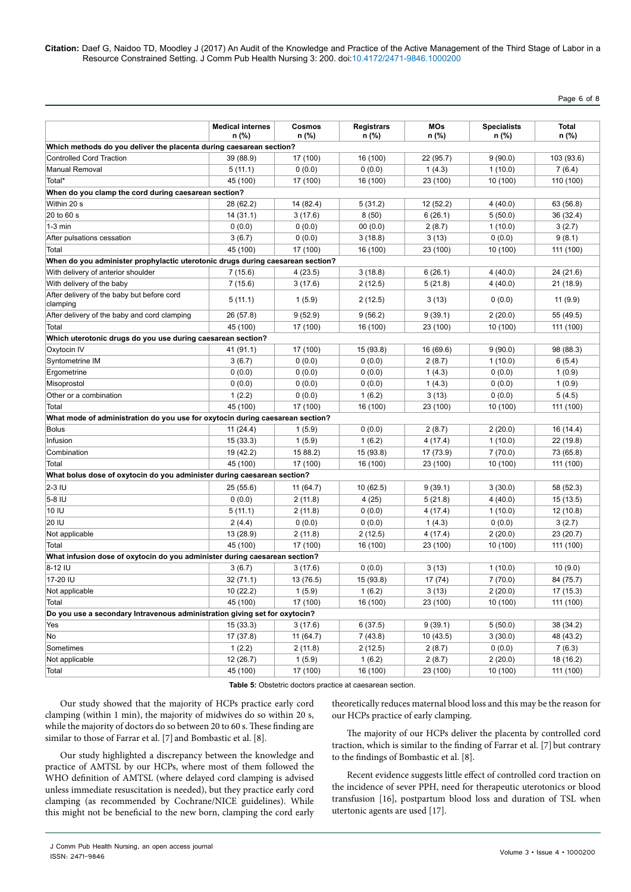Page 6 of 8

|                                                                                | <b>Medical internes</b><br>n (%) | <b>Cosmos</b><br>n (%) | <b>Registrars</b><br>n (%) | <b>MOs</b><br>n (%) | <b>Specialists</b><br>n (%) | <b>Total</b><br>n (%) |
|--------------------------------------------------------------------------------|----------------------------------|------------------------|----------------------------|---------------------|-----------------------------|-----------------------|
| Which methods do you deliver the placenta during caesarean section?            |                                  |                        |                            |                     |                             |                       |
| <b>Controlled Cord Traction</b>                                                | 39 (88.9)                        | 17 (100)               | 16 (100)                   | 22 (95.7)           | 9(90.0)                     | 103 (93.6)            |
| <b>Manual Removal</b>                                                          | 5(11.1)                          | 0(0.0)                 | 0(0.0)                     | 1(4.3)              | 1(10.0)                     | 7(6.4)                |
| Total*                                                                         | 45 (100)                         | 17 (100)               | 16 (100)                   | 23 (100)            | 10 (100)                    | 110 (100)             |
| When do you clamp the cord during caesarean section?                           |                                  |                        |                            |                     |                             |                       |
| Within 20 s                                                                    | 28 (62.2)                        | 14 (82.4)              | 5(31.2)                    | 12 (52.2)           | 4(40.0)                     | 63 (56.8)             |
| 20 to 60 s                                                                     | 14(31.1)                         | 3(17.6)                | 8(50)                      | 6(26.1)             | 5(50.0)                     | 36 (32.4)             |
| $1-3$ min                                                                      | 0(0.0)                           | 0(0.0)                 | 00(0.0)                    | 2(8.7)              | 1(10.0)                     | 3(2.7)                |
| After pulsations cessation                                                     | 3(6.7)                           | 0(0.0)                 | 3(18.8)                    | 3(13)               | 0(0.0)                      | 9(8.1)                |
| Total                                                                          | 45 (100)                         | 17 (100)               | 16 (100)                   | 23 (100)            | 10 (100)                    | 111 (100)             |
| When do you administer prophylactic uterotonic drugs during caesarean section? |                                  |                        |                            |                     |                             |                       |
| With delivery of anterior shoulder                                             | 7(15.6)                          | 4(23.5)                | 3(18.8)                    | 6(26.1)             | 4(40.0)                     | 24 (21.6)             |
| With delivery of the baby                                                      | 7(15.6)                          | 3(17.6)                | 2(12.5)                    | 5(21.8)             | 4(40.0)                     | 21 (18.9)             |
| After delivery of the baby but before cord<br>clamping                         | 5(11.1)                          | 1(5.9)                 | 2(12.5)                    | 3(13)               | 0(0.0)                      | 11 (9.9)              |
| After delivery of the baby and cord clamping                                   | 26 (57.8)                        | 9(52.9)                | 9(56.2)                    | 9(39.1)             | 2(20.0)                     | 55 (49.5)             |
| Total                                                                          | 45 (100)                         | 17 (100)               | 16 (100)                   | 23 (100)            | 10 (100)                    | 111 (100)             |
| Which uterotonic drugs do you use during caesarean section?                    |                                  |                        |                            |                     |                             |                       |
| Oxytocin IV                                                                    | 41 (91.1)                        | 17 (100)               | 15 (93.8)                  | 16 (69.6)           | 9(90.0)                     | 98 (88.3)             |
| Syntometrine IM                                                                | 3(6.7)                           | 0(0.0)                 | 0(0.0)                     | 2(8.7)              | 1(10.0)                     | 6(5.4)                |
| Ergometrine                                                                    | 0(0.0)                           | 0(0.0)                 | 0(0.0)                     | 1(4.3)              | 0(0.0)                      | 1(0.9)                |
| Misoprostol                                                                    | 0(0.0)                           | 0(0.0)                 | 0(0.0)                     | 1(4.3)              | 0(0.0)                      | 1(0.9)                |
| Other or a combination                                                         | 1(2.2)                           | 0(0.0)                 | 1(6.2)                     | 3(13)               | 0(0.0)                      | 5(4.5)                |
| Total                                                                          | 45 (100)                         | 17 (100)               | 16 (100)                   | 23 (100)            | 10 (100)                    | 111 (100)             |
| What mode of administration do you use for oxytocin during caesarean section?  |                                  |                        |                            |                     |                             |                       |
| <b>Bolus</b>                                                                   | 11(24.4)                         | 1(5.9)                 | 0(0.0)                     | 2(8.7)              | 2(20.0)                     | 16 (14.4)             |
| Infusion                                                                       | 15(33.3)                         | 1(5.9)                 | 1(6.2)                     | 4 (17.4)            | 1(10.0)                     | 22 (19.8)             |
| Combination                                                                    | 19 (42.2)                        | 15 88.2)               | 15 (93.8)                  | 17 (73.9)           | 7(70.0)                     | 73 (65.8)             |
| Total                                                                          | 45 (100)                         | 17 (100)               | 16 (100)                   | 23 (100)            | 10 (100)                    | 111 (100)             |
| What bolus dose of oxytocin do you administer during caesarean section?        |                                  |                        |                            |                     |                             |                       |
| $2-3$ IU                                                                       | 25 (55.6)                        | 11 (64.7)              | 10(62.5)                   | 9(39.1)             | 3(30.0)                     | 58 (52.3)             |
| 5-8 IU                                                                         | 0(0.0)                           | 2(11.8)                | 4(25)                      | 5(21.8)             | 4(40.0)                     | 15 (13.5)             |
| 10 IU                                                                          | 5(11.1)                          | 2(11.8)                | 0(0.0)                     | 4 (17.4)            | 1(10.0)                     | 12 (10.8)             |
| 20 IU                                                                          | 2(4.4)                           | 0(0.0)                 | 0(0.0)                     | 1(4.3)              | 0(0.0)                      | 3(2.7)                |
| Not applicable                                                                 | 13 (28.9)                        | 2(11.8)                | 2(12.5)                    | 4(17.4)             | 2(20.0)                     | 23 (20.7)             |
| Total                                                                          | 45 (100)                         | 17 (100)               | 16 (100)                   | 23 (100)            | 10 (100)                    | 111 (100)             |
| What infusion dose of oxytocin do you administer during caesarean section?     |                                  |                        |                            |                     |                             |                       |
| 8-12 IU                                                                        | 3(6.7)                           | 3(17.6)                | 0(0.0)                     | 3(13)               | 1(10.0)                     | 10(9.0)               |
| 17-20 IU                                                                       | 32(71.1)                         | 13 (76.5)              | 15 (93.8)                  | 17 (74)             | 7(70.0)                     | 84 (75.7)             |
| Not applicable                                                                 | 10 (22.2)                        | 1(5.9)                 | 1(6.2)                     | 3(13)               | 2(20.0)                     | 17 (15.3)             |
| Total                                                                          | 45 (100)                         | 17 (100)               | 16 (100)                   | 23 (100)            | 10 (100)                    | 111 (100)             |
| Do you use a secondary Intravenous administration giving set for oxytocin?     |                                  |                        |                            |                     |                             |                       |
| Yes                                                                            | 15(33.3)                         | 3(17.6)                | 6(37.5)                    | 9(39.1)             | 5(50.0)                     | 38 (34.2)             |
| No                                                                             | 17(37.8)                         | 11 (64.7)              | 7(43.8)                    | 10(43.5)            | 3(30.0)                     | 48 (43.2)             |
| Sometimes                                                                      | 1(2.2)                           | 2(11.8)                | 2(12.5)                    | 2(8.7)              | 0(0.0)                      | 7(6.3)                |
| Not applicable                                                                 | 12(26.7)                         | 1(5.9)                 | 1(6.2)                     | 2(8.7)              | 2(20.0)                     | 18 (16.2)             |
| Total                                                                          | 45 (100)                         | 17 (100)               | 16 (100)                   | 23 (100)            | 10 (100)                    | 111 (100)             |

**Table 5:** Obstetric doctors practice at caesarean section.

Our study showed that the majority of HCPs practice early cord clamping (within 1 min), the majority of midwives do so within 20 s, while the majority of doctors do so between 20 to 60 s. These finding are similar to those of Farrar et al. [7] and Bombastic et al. [8].

Our study highlighted a discrepancy between the knowledge and practice of AMTSL by our HCPs, where most of them followed the WHO definition of AMTSL (where delayed cord clamping is advised unless immediate resuscitation is needed), but they practice early cord clamping (as recommended by Cochrane/NICE guidelines). While this might not be beneficial to the new born, clamping the cord early theoretically reduces maternal blood loss and this may be the reason for our HCPs practice of early clamping.

The majority of our HCPs deliver the placenta by controlled cord traction, which is similar to the finding of Farrar et al. [7] but contrary to the findings of Bombastic et al. [8].

Recent evidence suggests little effect of controlled cord traction on the incidence of sever PPH, need for therapeutic uterotonics or blood transfusion [16], postpartum blood loss and duration of TSL when utertonic agents are used [17].

J Comm Pub Health Nursing, an open access journal ISSN: 2471-9846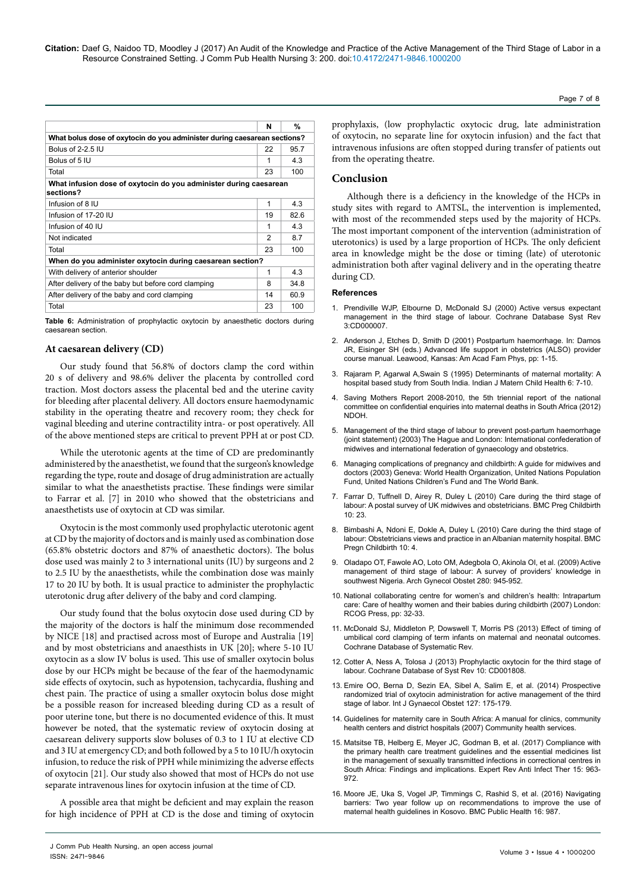**Citation:** Daef G, Naidoo TD, Moodley J (2017) An Audit of the Knowledge and Practice of the Active Management of the Third Stage of Labor in a Resource Constrained Setting. J Comm Pub Health Nursing 3: 200. doi:10.4172/2471-9846.1000200

|                                                                                | N  | %    |  |  |  |  |  |
|--------------------------------------------------------------------------------|----|------|--|--|--|--|--|
| What bolus dose of oxytocin do you administer during caesarean sections?       |    |      |  |  |  |  |  |
| Bolus of 2-2.5 IU                                                              | 22 | 95.7 |  |  |  |  |  |
| Bolus of 5 IU                                                                  | 1  | 4.3  |  |  |  |  |  |
| Total                                                                          | 23 | 100  |  |  |  |  |  |
| What infusion dose of oxytocin do you administer during caesarean<br>sections? |    |      |  |  |  |  |  |
| Infusion of 8 IU                                                               | 1  | 4.3  |  |  |  |  |  |
| Infusion of 17-20 IU                                                           | 19 | 82.6 |  |  |  |  |  |
| Infusion of 40 IU                                                              | 1  | 4.3  |  |  |  |  |  |
| Not indicated                                                                  | 2  | 87   |  |  |  |  |  |
| Total                                                                          | 23 | 100  |  |  |  |  |  |
| When do you administer oxytocin during caesarean section?                      |    |      |  |  |  |  |  |
| With delivery of anterior shoulder                                             | 1  | 4.3  |  |  |  |  |  |
| After delivery of the baby but before cord clamping                            | 8  | 34.8 |  |  |  |  |  |
| After delivery of the baby and cord clamping                                   | 14 | 60.9 |  |  |  |  |  |
| Total                                                                          | 23 | 100  |  |  |  |  |  |

**Table 6:** Administration of prophylactic oxytocin by anaesthetic doctors during caesarean section.

## **At caesarean delivery (CD)**

Our study found that 56.8% of doctors clamp the cord within 20 s of delivery and 98.6% deliver the placenta by controlled cord traction. Most doctors assess the placental bed and the uterine cavity for bleeding after placental delivery. All doctors ensure haemodynamic stability in the operating theatre and recovery room; they check for vaginal bleeding and uterine contractility intra- or post operatively. All of the above mentioned steps are critical to prevent PPH at or post CD.

While the uterotonic agents at the time of CD are predominantly administered by the anaesthetist, we found that the surgeon's knowledge regarding the type, route and dosage of drug administration are actually similar to what the anaesthetists practise. These findings were similar to Farrar et al. [7] in 2010 who showed that the obstetricians and anaesthetists use of oxytocin at CD was similar.

Oxytocin is the most commonly used prophylactic uterotonic agent at CD by the majority of doctors and is mainly used as combination dose (65.8% obstetric doctors and 87% of anaesthetic doctors). The bolus dose used was mainly 2 to 3 international units (IU) by surgeons and 2 to 2.5 IU by the anaesthetists, while the combination dose was mainly 17 to 20 IU by both. It is usual practice to administer the prophylactic uterotonic drug after delivery of the baby and cord clamping.

Our study found that the bolus oxytocin dose used during CD by the majority of the doctors is half the minimum dose recommended by NICE [18] and practised across most of Europe and Australia [19] and by most obstetricians and anaesthists in UK [20]; where 5-10 IU oxytocin as a slow IV bolus is used. This use of smaller oxytocin bolus dose by our HCPs might be because of the fear of the haemodynamic side effects of oxytocin, such as hypotension, tachycardia, flushing and chest pain. The practice of using a smaller oxytocin bolus dose might be a possible reason for increased bleeding during CD as a result of poor uterine tone, but there is no documented evidence of this. It must however be noted, that the systematic review of oxytocin dosing at caesarean delivery supports slow boluses of 0.3 to 1 IU at elective CD and 3 IU at emergency CD; and both followed by a 5 to 10 IU/h oxytocin infusion, to reduce the risk of PPH while minimizing the adverse effects of oxytocin [21]. Our study also showed that most of HCPs do not use separate intravenous lines for oxytocin infusion at the time of CD.

A possible area that might be deficient and may explain the reason for high incidence of PPH at CD is the dose and timing of oxytocin prophylaxis, (low prophylactic oxytocic drug, late administration of oxytocin, no separate line for oxytocin infusion) and the fact that intravenous infusions are often stopped during transfer of patients out from the operating theatre.

# **Conclusion**

Although there is a deficiency in the knowledge of the HCPs in study sites with regard to AMTSL, the intervention is implemented, with most of the recommended steps used by the majority of HCPs. The most important component of the intervention (administration of uterotonics) is used by a large proportion of HCPs. The only deficient area in knowledge might be the dose or timing (late) of uterotonic administration both after vaginal delivery and in the operating theatre during CD.

#### **References**

- 1. [Prendiville WJP, Elbourne D, McDonald SJ \(2000\) Active versus expectant](https://doi.org/10.1002/14651858.CD000007)  [management in the third stage of labour. Cochrane Database Syst Rev](https://doi.org/10.1002/14651858.CD000007)  [3:CD000007.](https://doi.org/10.1002/14651858.CD000007)
- 2. Anderson J, Etches D, Smith D (2001) Postpartum haemorrhage. In: Damos JR, Eisinger SH (eds.) Advanced life support in obstetrics (ALSO) provider course manual. Leawood, Kansas: Am Acad Fam Phys, pp: 1-15.
- 3. Rajaram P, Agarwal A,Swain S (1995) Determinants of maternal mortality: A hospital based study from South India. Indian J Matern Child Health 6: 7-10.
- Saving Mothers Report 2008-2010, the 5th triennial report of the national [committee on confidential enquiries into maternal deaths in South Africa \(2012\)](http://sanac.org.za/wp-content/uploads/2015/12/Report_on_Confidential_Enquiries_into_Maternal_Deaths_in_South_Africa.pdf)  [NDOH.](http://sanac.org.za/wp-content/uploads/2015/12/Report_on_Confidential_Enquiries_into_Maternal_Deaths_in_South_Africa.pdf)
- 5. [Management of the third stage of labour to prevent post-partum haemorrhage](https://sogc.org/wp-content/uploads/2013/02/136E-JPS-November2003.pdf)  [\(joint statement\) \(2003\) The Hague and London: International confederation of](https://sogc.org/wp-content/uploads/2013/02/136E-JPS-November2003.pdf)  [midwives and international federation of gynaecology and obstetrics.](https://sogc.org/wp-content/uploads/2013/02/136E-JPS-November2003.pdf)
- Managing complications of pregnancy and childbirth: A guide for midwives and doctors (2003) Geneva: World Health Organization, United Nations Population Fund, United Nations Children's Fund and The World Bank.
- 7. [Farrar D, Tuffnell D, Airey R, Duley L \(2010\) Care during the third stage of](https://doi.org/10.1186/1471-2393-10-23)  [labour: A postal survey of UK midwives and obstetricians. BMC Preg Childbirth](https://doi.org/10.1186/1471-2393-10-23)  [10: 23.](https://doi.org/10.1186/1471-2393-10-23)
- 8. [Bimbashi A, Ndoni E, Dokle A, Duley L \(2010\) Care during the third stage of](https://doi.org/10.1186/1471-2393-10-4)  [labour: Obstetricians views and practice in an Albanian maternity hospital. BMC](https://doi.org/10.1186/1471-2393-10-4)  [Pregn Childbirth 10: 4.](https://doi.org/10.1186/1471-2393-10-4)
- 9. [Oladapo OT, Fawole AO, Loto OM, Adegbola O, Akinola OI, et al. \(2009\) Active](https://doi.org/10.1007/s00404-009-1036-x)  [management of third stage of labour: A survey of providers' knowledge in](https://doi.org/10.1007/s00404-009-1036-x)  [southwest Nigeria. Arch Gynecol Obstet 280: 945-952](https://doi.org/10.1007/s00404-009-1036-x).
- 10. National collaborating centre for women's and children's health: Intrapartum care: Care of healthy women and their babies during childbirth (2007) London: RCOG Press, pp: 32-33.
- 11. [McDonald SJ, Middleton P, Dowswell T, Morris PS \(2013\) Effect of timing of](https://doi.org/10.1002/14651858.CD004074.pub3)  [umbilical cord clamping of term infants on maternal and neonatal outcomes.](https://doi.org/10.1002/14651858.CD004074.pub3)  [Cochrane Database of Systematic Rev.](https://doi.org/10.1002/14651858.CD004074.pub3)
- 12. [Cotter A, Ness A, Tolosa J \(2013\) Prophylactic oxytocin for the third stage of](https://doi.org/10.1002/14651858.CD001808.pub2)  [labour. Cochrane Database of Syst Rev 10: CD001808.](https://doi.org/10.1002/14651858.CD001808.pub2)
- 13. [Emire OO, Berna D, Sezin EA, Sibel A, Salim E, et al. \(2014\) Prospective](http://dx.doi.org/10.1016/j.ijgo.2014.05.022)  [randomized trial of oxytocin administration for active management of the third](http://dx.doi.org/10.1016/j.ijgo.2014.05.022)  [stage of labor. Int J Gynaecol Obstet 127: 175-179.](http://dx.doi.org/10.1016/j.ijgo.2014.05.022)
- 14. [Guidelines for maternity care in South Africa: A manual for clinics, community](https://books.google.co.in/books/about/Guidelines_for_Maternity_Care_in_South_A.html?id=DUVGuAAACAAJ&redir_esc=y)  [health centers and district hospitals \(2007\) Community health services.](https://books.google.co.in/books/about/Guidelines_for_Maternity_Care_in_South_A.html?id=DUVGuAAACAAJ&redir_esc=y)
- 15. [Matsitse TB, Helberg E, Meyer JC, Godman B, et al. \(2017\) Compliance with](http://dx.doi.org/10.1080/14787210.2017.1382354)  [the primary health care treatment guidelines and the essential medicines list](http://dx.doi.org/10.1080/14787210.2017.1382354)  [in the management of sexually transmitted infections in correctional centres in](http://dx.doi.org/10.1080/14787210.2017.1382354)  [South Africa: Findings and implications. Expert Rev Anti Infect Ther 15: 963-](http://dx.doi.org/10.1080/14787210.2017.1382354) [972.](http://dx.doi.org/10.1080/14787210.2017.1382354)
- 16. [Moore JE, Uka S, Vogel JP, Timmings C, Rashid S, et al. \(2016\) Navigating](https://dx.doi.org/10.1186%2Fs12889-016-3641-5)  [barriers: Two year follow up on recommendations to improve the use of](https://dx.doi.org/10.1186%2Fs12889-016-3641-5)  [maternal health guidelines in Kosovo. BMC Public Health 16: 987.](https://dx.doi.org/10.1186%2Fs12889-016-3641-5)